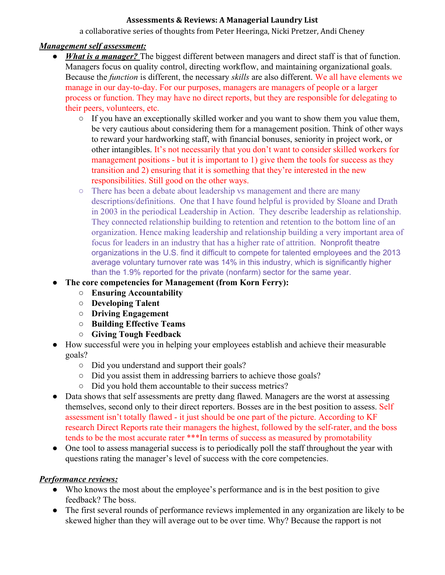#### **Assessments & Reviews: A Managerial Laundry List**

a collaborative series of thoughts from Peter Heeringa, Nicki Pretzer, Andi Cheney

## *Management self assessment:*

- *What is a manager?* The biggest different between managers and direct staff is that of function. Managers focus on quality control, directing workflow, and maintaining organizational goals. Because the *function* is different, the necessary *skills* are also different. We all have elements we manage in our day-to-day. For our purposes, managers are managers of people or a larger process or function. They may have no direct reports, but they are responsible for delegating to their peers, volunteers, etc.
	- $\circ$  If you have an exceptionally skilled worker and you want to show them you value them, be very cautious about considering them for a management position. Think of other ways to reward your hardworking staff, with financial bonuses, seniority in project work, or other intangibles. It's not necessarily that you don't want to consider skilled workers for management positions  $\overline{\phantom{a}}$  but it is important to 1) give them the tools for success as they transition and 2) ensuring that it is something that they're interested in the new responsibilities. Still good on the other ways.
	- There has been a debate about leadership vs management and there are many descriptions/definitions. One that I have found helpful is provided by Sloane and Drath in 2003 in the periodical Leadership in Action. They describe leadership as relationship. They connected relationship building to retention and retention to the bottom line of an organization. Hence making leadership and relationship building a very important area of focus for leaders in an industry that has a higher rate of attrition. Nonprofit theatre organizations in the U.S. find it difficult to compete for talented employees and the 2013 average voluntary turnover rate was 14% in this industry, which is significantly higher than the 1.9% reported for the private (nonfarm) sector for the same year.
- **● The core competencies for Management (from Korn Ferry):**
	- **○ Ensuring Accountability**
	- **○ Developing Talent**
	- **○ Driving Engagement**
	- **○ Building Effective Teams**
	- **○ Giving Tough Feedback**
- How successful were you in helping your employees establish and achieve their measurable goals?
	- Did you understand and support their goals?
	- Did you assist them in addressing barriers to achieve those goals?
	- Did you hold them accountable to their success metrics?
- Data shows that self assessments are pretty dang flawed. Managers are the worst at assessing themselves, second only to their direct reporters. Bosses are in the best position to assess. Self assessment isn't totally flawed - it just should be one part of the picture. According to KF research Direct Reports rate their managers the highest, followed by the self-rater, and the boss tends to be the most accurate rater \*\*\*In terms of success as measured by promotability
- One tool to assess managerial success is to periodically poll the staff throughout the year with questions rating the manager's level of success with the core competencies.

## *Performance reviews:*

- Who knows the most about the employee's performance and is in the best position to give feedback? The boss.
- The first several rounds of performance reviews implemented in any organization are likely to be skewed higher than they will average out to be over time. Why? Because the rapport is not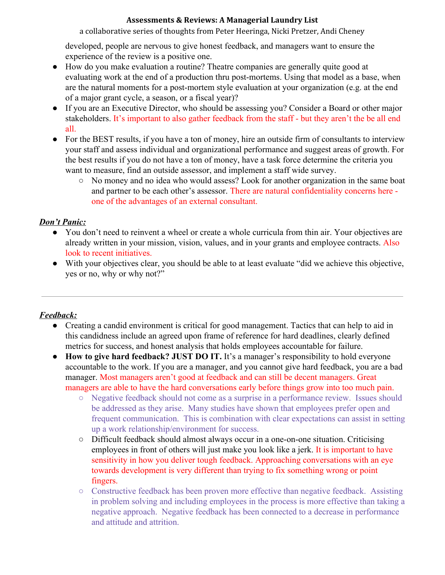### **Assessments & Reviews: A Managerial Laundry List**

a collaborative series of thoughts from Peter Heeringa, Nicki Pretzer, Andi Cheney

developed, people are nervous to give honest feedback, and managers want to ensure the experience of the review is a positive one.

- How do you make evaluation a routine? Theatre companies are generally quite good at evaluating work at the end of a production thru post-mortems. Using that model as a base, when are the natural moments for a post-mortem style evaluation at your organization (e.g. at the end of a major grant cycle, a season, or a fiscal year)?
- If you are an Executive Director, who should be assessing you? Consider a Board or other major stakeholders. It's important to also gather feedback from the staff - but they aren't the be all end all.
- For the BEST results, if you have a ton of money, hire an outside firm of consultants to interview your staff and assess individual and organizational performance and suggest areas of growth. For the best results if you do not have a ton of money, have a task force determine the criteria you want to measure, find an outside assessor, and implement a staff wide survey.
	- No money and no idea who would assess? Look for another organization in the same boat and partner to be each other's assessor. There are natural confidentiality concerns here one of the advantages of an external consultant.

## *Don't Panic:*

- You don't need to reinvent a wheel or create a whole curricula from thin air. Your objectives are already written in your mission, vision, values, and in your grants and employee contracts. Also look to recent initiatives.
- With your objectives clear, you should be able to at least evaluate "did we achieve this objective, yes or no, why or why not?"

# *Feedback:*

- Creating a candid environment is critical for good management. Tactics that can help to aid in this candidness include an agreed upon frame of reference for hard deadlines, clearly defined metrics for success, and honest analysis that holds employees accountable for failure.
- **● How to give hard feedback? JUST DO IT.** It's a manager's responsibility to hold everyone accountable to the work. If you are a manager, and you cannot give hard feedback, you are a bad manager. Most managers aren't good at feedback and can still be decent managers. Great managers are able to have the hard conversations early before things grow into too much pain.
	- Negative feedback should not come as a surprise in a performance review. Issues should be addressed as they arise. Many studies have shown that employees prefer open and frequent communication. This is combination with clear expectations can assist in setting up a work relationship/environment for success.
	- Difficult feedback should almost always occur in a one-on-one situation. Criticising employees in front of others will just make you look like a jerk. It is important to have sensitivity in how you deliver tough feedback. Approaching conversations with an eye towards development is very different than trying to fix something wrong or point fingers.
	- Constructive feedback has been proven more effective than negative feedback. Assisting in problem solving and including employees in the process is more effective than taking a negative approach. Negative feedback has been connected to a decrease in performance and attitude and attrition.